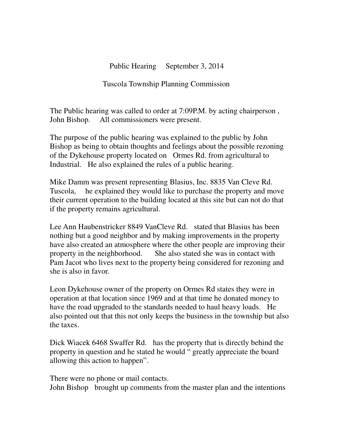Public Hearing September 3, 2014

Tuscola Township Planning Commission

The Public hearing was called to order at 7:09P.M. by acting chairperson , John Bishop. All commissioners were present.

The purpose of the public hearing was explained to the public by John Bishop as being to obtain thoughts and feelings about the possible rezoning of the Dykehouse property located on Ormes Rd. from agricultural to Industrial. He also explained the rules of a public hearing.

Mike Damm was present representing Blasius, Inc. 8835 Van Cleve Rd. Tuscola, he explained they would like to purchase the property and move their current operation to the building located at this site but can not do that if the property remains agricultural.

Lee Ann Haubenstricker 8849 VanCleve Rd. stated that Blasius has been nothing but a good neighbor and by making improvements in the property have also created an atmosphere where the other people are improving their property in the neighborhood. She also stated she was in contact with Pam Jacot who lives next to the property being considered for rezoning and she is also in favor.

Leon Dykehouse owner of the property on Ormes Rd states they were in operation at that location since 1969 and at that time he donated money to have the road upgraded to the standards needed to haul heavy loads. He also pointed out that this not only keeps the business in the township but also the taxes.

Dick Wiacek 6468 Swaffer Rd. has the property that is directly behind the property in question and he stated he would " greatly appreciate the board allowing this action to happen".

There were no phone or mail contacts. John Bishop brought up comments from the master plan and the intentions